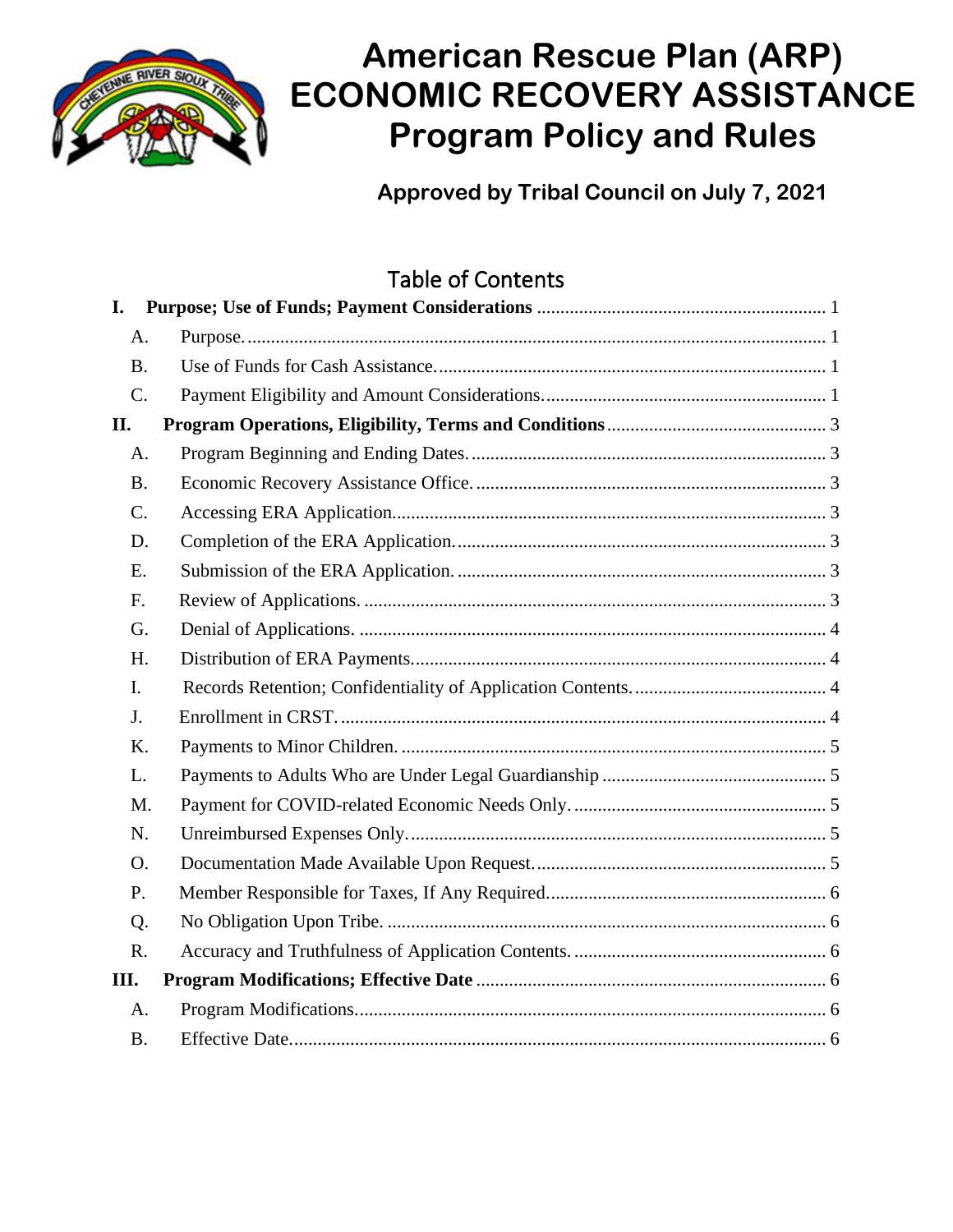

# **American Rescue Plan (ARP) ECONOMIC RECOVERY ASSISTANCE Program Policy and Rules**

**Approved by Tribal Council on July 7, 2021**

## Table of Contents

| I.             |  |
|----------------|--|
| A.             |  |
| <b>B.</b>      |  |
| C.             |  |
| П.             |  |
| A.             |  |
| <b>B.</b>      |  |
| C.             |  |
| D.             |  |
| E.             |  |
| F.             |  |
| G.             |  |
| H.             |  |
| $\mathbf{I}$ . |  |
| J.             |  |
| K.             |  |
| L.             |  |
| M.             |  |
| N.             |  |
| O.             |  |
| P.             |  |
| Q.             |  |
| R.             |  |
| III.           |  |
| A.             |  |
| <b>B.</b>      |  |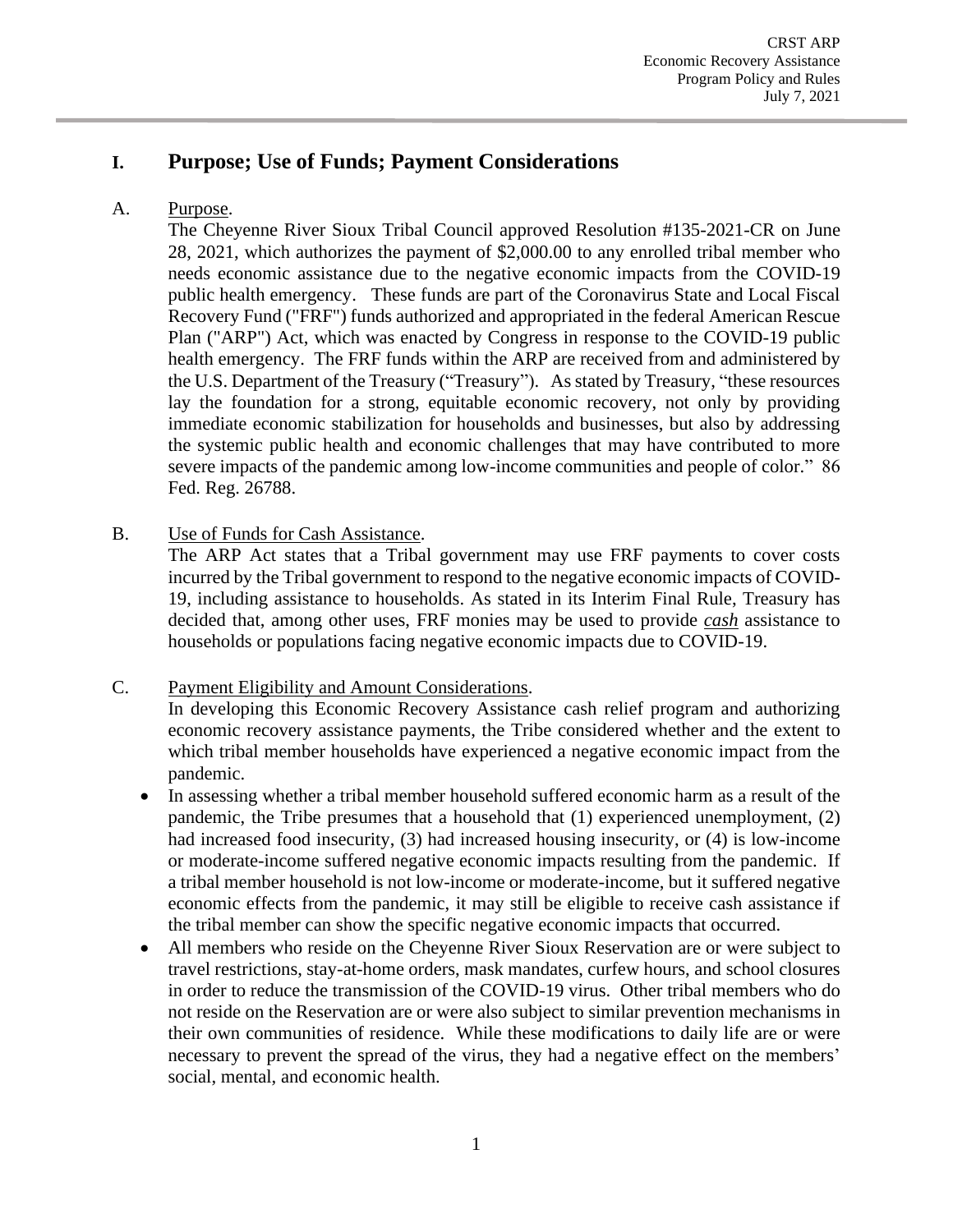## <span id="page-1-0"></span>**I. Purpose; Use of Funds; Payment Considerations**

## <span id="page-1-1"></span>A. Purpose.

The Cheyenne River Sioux Tribal Council approved Resolution #135-2021-CR on June 28, 2021, which authorizes the payment of \$2,000.00 to any enrolled tribal member who needs economic assistance due to the negative economic impacts from the COVID-19 public health emergency. These funds are part of the Coronavirus State and Local Fiscal Recovery Fund ("FRF") funds authorized and appropriated in the federal American Rescue Plan ("ARP") Act, which was enacted by Congress in response to the COVID-19 public health emergency. The FRF funds within the ARP are received from and administered by the U.S. Department of the Treasury ("Treasury"). As stated by Treasury, "these resources lay the foundation for a strong, equitable economic recovery, not only by providing immediate economic stabilization for households and businesses, but also by addressing the systemic public health and economic challenges that may have contributed to more severe impacts of the pandemic among low-income communities and people of color." 86 Fed. Reg. 26788.

<span id="page-1-2"></span>B. Use of Funds for Cash Assistance.

The ARP Act states that a Tribal government may use FRF payments to cover costs incurred by the Tribal government to respond to the negative economic impacts of COVID-19, including assistance to households. As stated in its Interim Final Rule, Treasury has decided that, among other uses, FRF monies may be used to provide *cash* assistance to households or populations facing negative economic impacts due to COVID-19.

#### <span id="page-1-3"></span>C. Payment Eligibility and Amount Considerations.

In developing this Economic Recovery Assistance cash relief program and authorizing economic recovery assistance payments, the Tribe considered whether and the extent to which tribal member households have experienced a negative economic impact from the pandemic.

- In assessing whether a tribal member household suffered economic harm as a result of the pandemic, the Tribe presumes that a household that (1) experienced unemployment, (2) had increased food insecurity, (3) had increased housing insecurity, or (4) is low-income or moderate-income suffered negative economic impacts resulting from the pandemic. If a tribal member household is not low-income or moderate-income, but it suffered negative economic effects from the pandemic, it may still be eligible to receive cash assistance if the tribal member can show the specific negative economic impacts that occurred.
- All members who reside on the Cheyenne River Sioux Reservation are or were subject to travel restrictions, stay-at-home orders, mask mandates, curfew hours, and school closures in order to reduce the transmission of the COVID-19 virus. Other tribal members who do not reside on the Reservation are or were also subject to similar prevention mechanisms in their own communities of residence. While these modifications to daily life are or were necessary to prevent the spread of the virus, they had a negative effect on the members' social, mental, and economic health.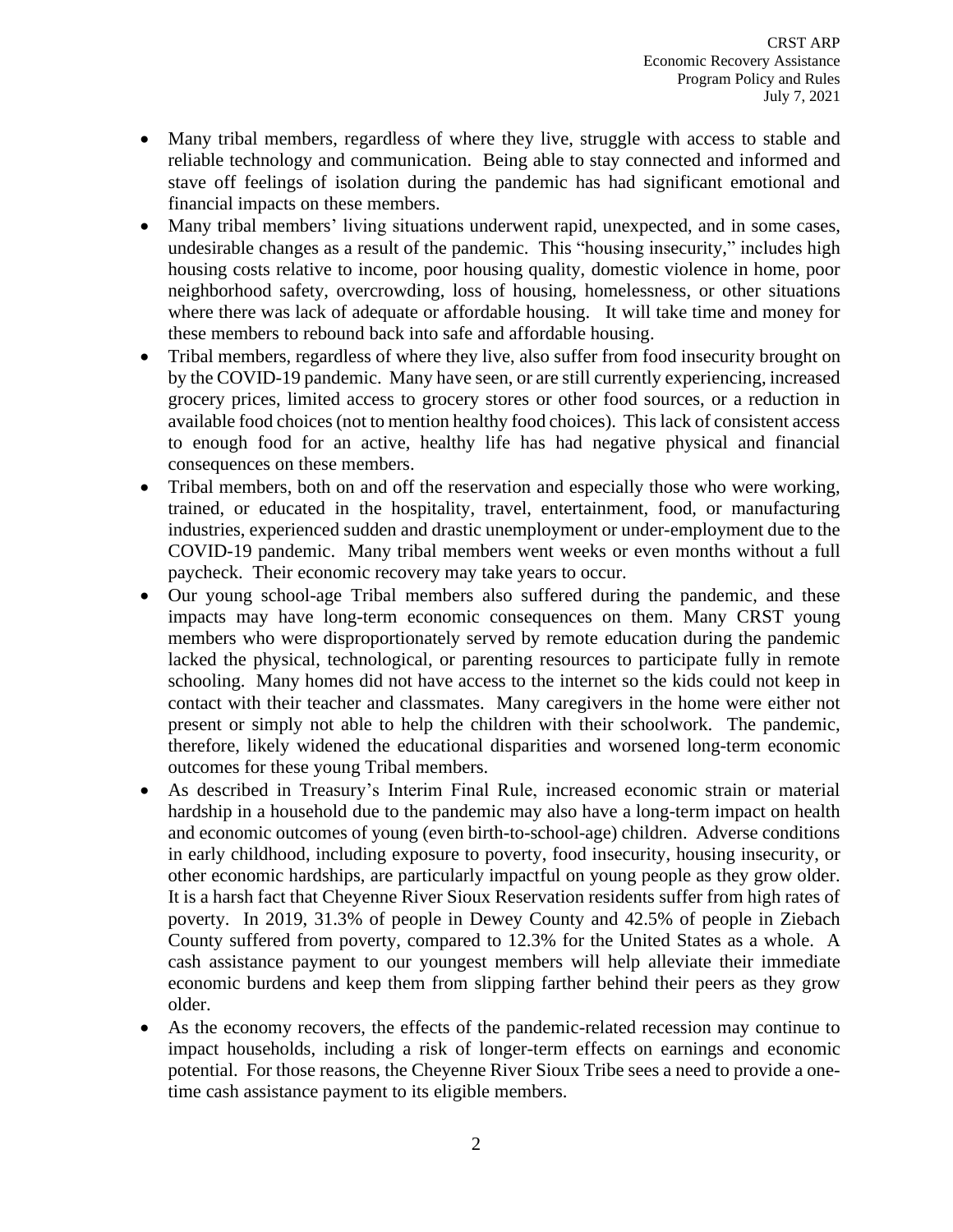- Many tribal members, regardless of where they live, struggle with access to stable and reliable technology and communication. Being able to stay connected and informed and stave off feelings of isolation during the pandemic has had significant emotional and financial impacts on these members.
- Many tribal members' living situations underwent rapid, unexpected, and in some cases, undesirable changes as a result of the pandemic. This "housing insecurity," includes high housing costs relative to income, poor housing quality, domestic violence in home, poor neighborhood safety, overcrowding, loss of housing, homelessness, or other situations where there was lack of adequate or affordable housing. It will take time and money for these members to rebound back into safe and affordable housing.
- Tribal members, regardless of where they live, also suffer from food insecurity brought on by the COVID-19 pandemic. Many have seen, or are still currently experiencing, increased grocery prices, limited access to grocery stores or other food sources, or a reduction in available food choices (not to mention healthy food choices). Thislack of consistent access to enough food for an active, healthy life has had negative physical and financial consequences on these members.
- Tribal members, both on and off the reservation and especially those who were working, trained, or educated in the hospitality, travel, entertainment, food, or manufacturing industries, experienced sudden and drastic unemployment or under-employment due to the COVID-19 pandemic. Many tribal members went weeks or even months without a full paycheck. Their economic recovery may take years to occur.
- Our young school-age Tribal members also suffered during the pandemic, and these impacts may have long-term economic consequences on them. Many CRST young members who were disproportionately served by remote education during the pandemic lacked the physical, technological, or parenting resources to participate fully in remote schooling. Many homes did not have access to the internet so the kids could not keep in contact with their teacher and classmates. Many caregivers in the home were either not present or simply not able to help the children with their schoolwork. The pandemic, therefore, likely widened the educational disparities and worsened long-term economic outcomes for these young Tribal members.
- As described in Treasury's Interim Final Rule, increased economic strain or material hardship in a household due to the pandemic may also have a long-term impact on health and economic outcomes of young (even birth-to-school-age) children. Adverse conditions in early childhood, including exposure to poverty, food insecurity, housing insecurity, or other economic hardships, are particularly impactful on young people as they grow older. It is a harsh fact that Cheyenne River Sioux Reservation residents suffer from high rates of poverty. In 2019, 31.3% of people in Dewey County and 42.5% of people in Ziebach County suffered from poverty, compared to 12.3% for the United States as a whole. A cash assistance payment to our youngest members will help alleviate their immediate economic burdens and keep them from slipping farther behind their peers as they grow older.
- As the economy recovers, the effects of the pandemic-related recession may continue to impact households, including a risk of longer-term effects on earnings and economic potential. For those reasons, the Cheyenne River Sioux Tribe sees a need to provide a onetime cash assistance payment to its eligible members.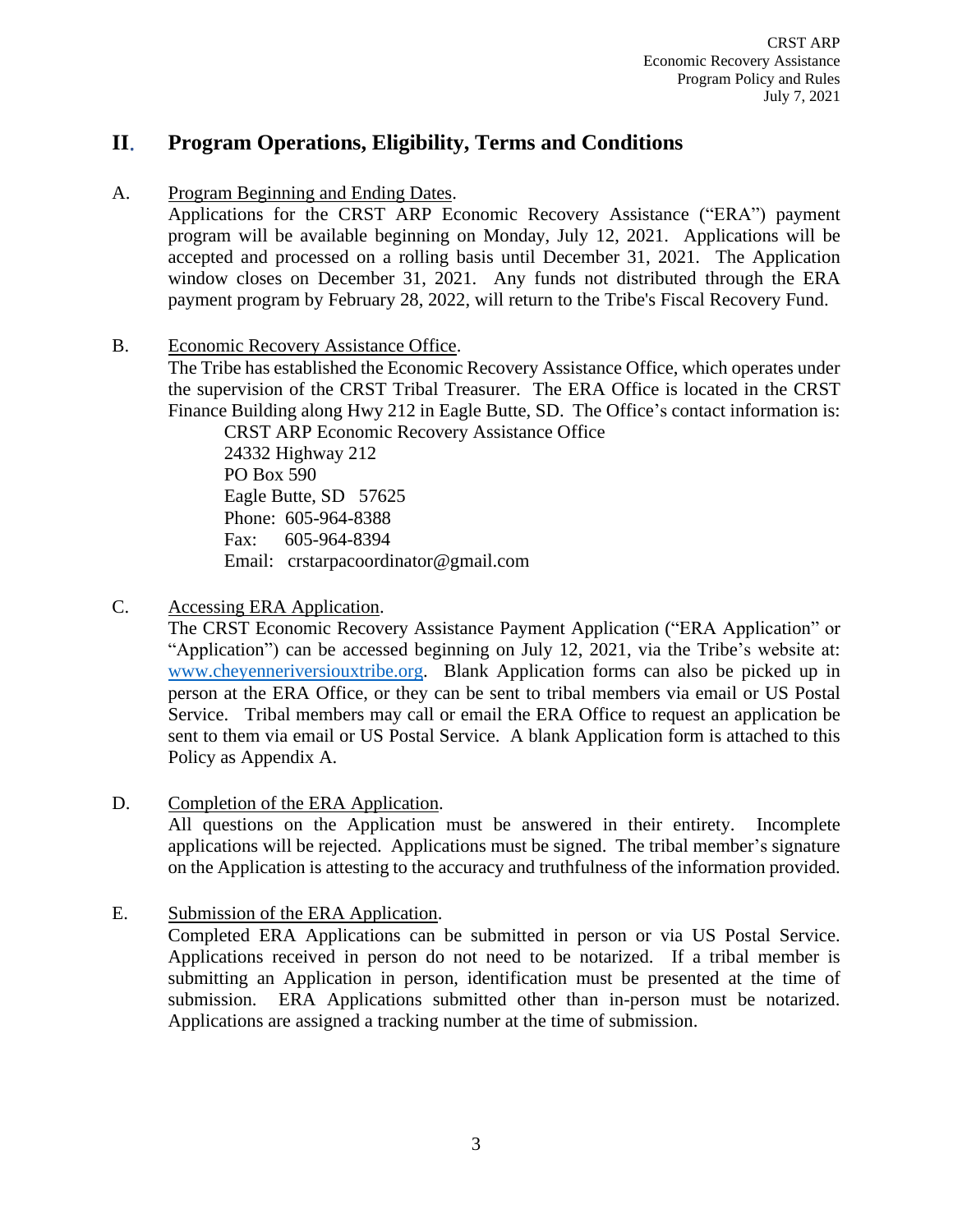## <span id="page-3-0"></span>**II**. **Program Operations, Eligibility, Terms and Conditions**

<span id="page-3-1"></span>A. Program Beginning and Ending Dates.

Applications for the CRST ARP Economic Recovery Assistance ("ERA") payment program will be available beginning on Monday, July 12, 2021. Applications will be accepted and processed on a rolling basis until December 31, 2021. The Application window closes on December 31, 2021. Any funds not distributed through the ERA payment program by February 28, 2022, will return to the Tribe's Fiscal Recovery Fund.

<span id="page-3-2"></span>B. Economic Recovery Assistance Office.

The Tribe has established the Economic Recovery Assistance Office, which operates under the supervision of the CRST Tribal Treasurer. The ERA Office is located in the CRST Finance Building along Hwy 212 in Eagle Butte, SD. The Office's contact information is:

CRST ARP Economic Recovery Assistance Office 24332 Highway 212 PO Box 590 Eagle Butte, SD 57625 Phone: 605-964-8388 Fax: 605-964-8394 Email: crstarpacoordinator@gmail.com

<span id="page-3-3"></span>C. Accessing ERA Application.

The CRST Economic Recovery Assistance Payment Application ("ERA Application" or "Application") can be accessed beginning on July 12, 2021, via the Tribe's website at: www.cheyenneriversiouxtribe.org. Blank Application forms can also be picked up in person at the ERA Office, or they can be sent to tribal members via email or US Postal Service. Tribal members may call or email the ERA Office to request an application be sent to them via email or US Postal Service. A blank Application form is attached to this Policy as Appendix A.

<span id="page-3-4"></span>D. Completion of the ERA Application.

All questions on the Application must be answered in their entirety. Incomplete applications will be rejected. Applications must be signed. The tribal member's signature on the Application is attesting to the accuracy and truthfulness of the information provided.

<span id="page-3-5"></span>E. Submission of the ERA Application. Completed ERA Applications can be submitted in person or via US Postal Service. Applications received in person do not need to be notarized. If a tribal member is submitting an Application in person, identification must be presented at the time of submission. ERA Applications submitted other than in-person must be notarized. Applications are assigned a tracking number at the time of submission.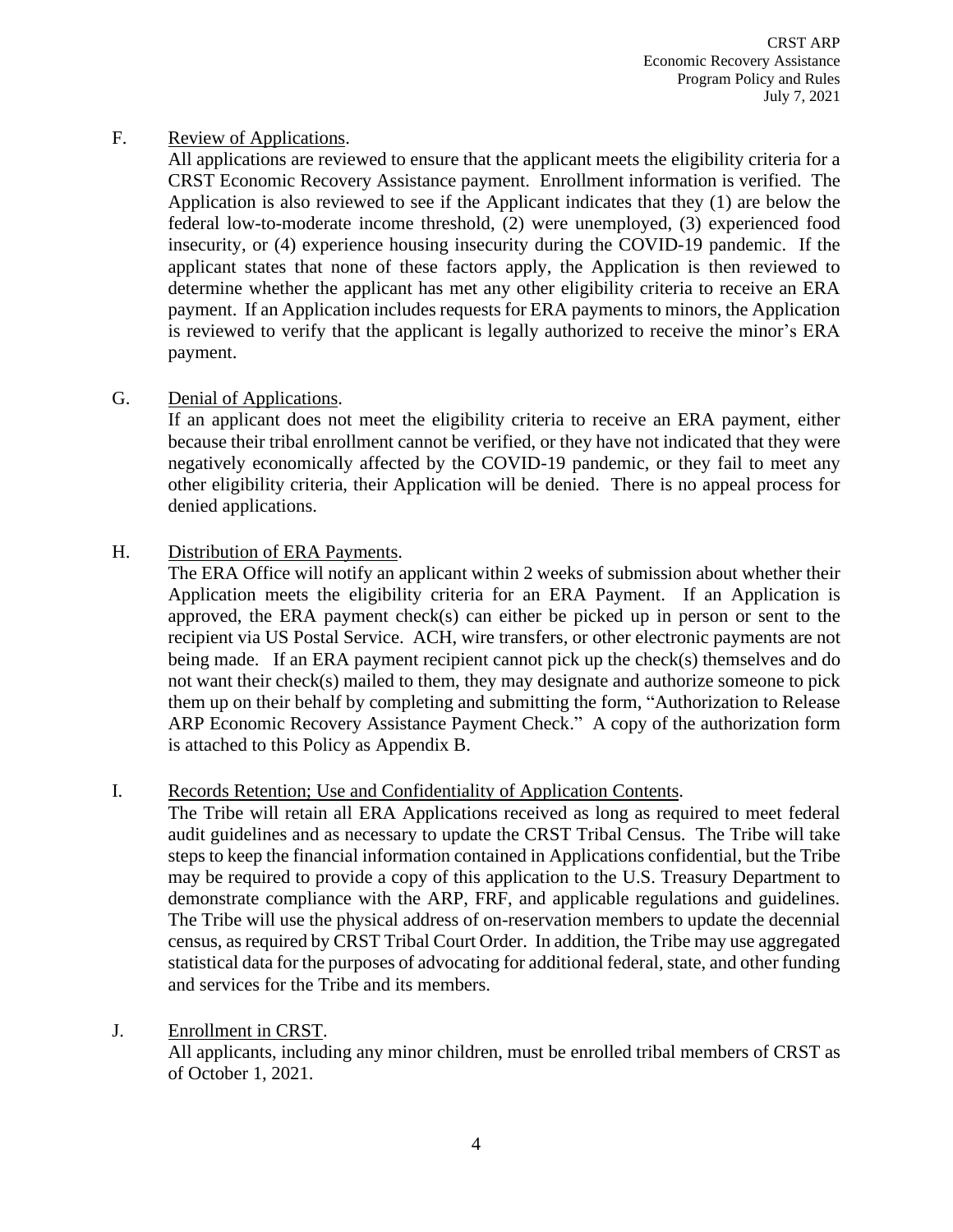### <span id="page-4-0"></span>F. Review of Applications.

All applications are reviewed to ensure that the applicant meets the eligibility criteria for a CRST Economic Recovery Assistance payment. Enrollment information is verified. The Application is also reviewed to see if the Applicant indicates that they (1) are below the federal low-to-moderate income threshold, (2) were unemployed, (3) experienced food insecurity, or (4) experience housing insecurity during the COVID-19 pandemic. If the applicant states that none of these factors apply, the Application is then reviewed to determine whether the applicant has met any other eligibility criteria to receive an ERA payment. If an Application includes requests for ERA payments to minors, the Application is reviewed to verify that the applicant is legally authorized to receive the minor's ERA payment.

## <span id="page-4-1"></span>G. Denial of Applications.

If an applicant does not meet the eligibility criteria to receive an ERA payment, either because their tribal enrollment cannot be verified, or they have not indicated that they were negatively economically affected by the COVID-19 pandemic, or they fail to meet any other eligibility criteria, their Application will be denied. There is no appeal process for denied applications.

### <span id="page-4-2"></span>H. Distribution of ERA Payments.

The ERA Office will notify an applicant within 2 weeks of submission about whether their Application meets the eligibility criteria for an ERA Payment. If an Application is approved, the ERA payment check(s) can either be picked up in person or sent to the recipient via US Postal Service. ACH, wire transfers, or other electronic payments are not being made. If an ERA payment recipient cannot pick up the check(s) themselves and do not want their check(s) mailed to them, they may designate and authorize someone to pick them up on their behalf by completing and submitting the form, "Authorization to Release ARP Economic Recovery Assistance Payment Check." A copy of the authorization form is attached to this Policy as Appendix B.

#### <span id="page-4-3"></span>I. Records Retention; Use and Confidentiality of Application Contents.

The Tribe will retain all ERA Applications received as long as required to meet federal audit guidelines and as necessary to update the CRST Tribal Census. The Tribe will take steps to keep the financial information contained in Applications confidential, but the Tribe may be required to provide a copy of this application to the U.S. Treasury Department to demonstrate compliance with the ARP, FRF, and applicable regulations and guidelines. The Tribe will use the physical address of on-reservation members to update the decennial census, as required by CRST Tribal Court Order. In addition, the Tribe may use aggregated statistical data for the purposes of advocating for additional federal, state, and other funding and services for the Tribe and its members.

## <span id="page-4-4"></span>J. Enrollment in CRST. All applicants, including any minor children, must be enrolled tribal members of CRST as of October 1, 2021.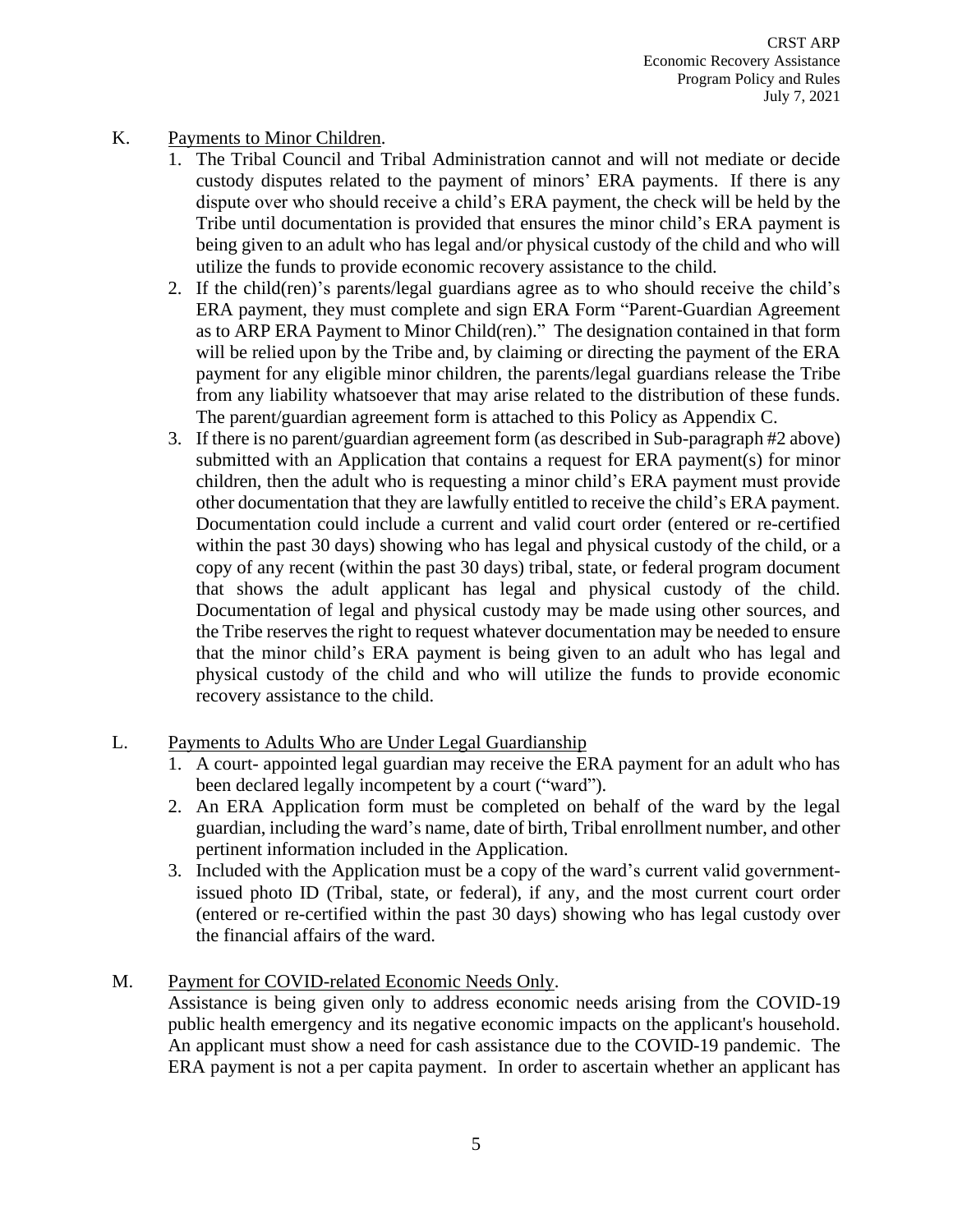## <span id="page-5-0"></span>K. Payments to Minor Children.

- 1. The Tribal Council and Tribal Administration cannot and will not mediate or decide custody disputes related to the payment of minors' ERA payments. If there is any dispute over who should receive a child's ERA payment, the check will be held by the Tribe until documentation is provided that ensures the minor child's ERA payment is being given to an adult who has legal and/or physical custody of the child and who will utilize the funds to provide economic recovery assistance to the child.
- 2. If the child(ren)'s parents/legal guardians agree as to who should receive the child's ERA payment, they must complete and sign ERA Form "Parent-Guardian Agreement as to ARP ERA Payment to Minor Child(ren)." The designation contained in that form will be relied upon by the Tribe and, by claiming or directing the payment of the ERA payment for any eligible minor children, the parents/legal guardians release the Tribe from any liability whatsoever that may arise related to the distribution of these funds. The parent/guardian agreement form is attached to this Policy as Appendix C.
- 3. If there is no parent/guardian agreement form (as described in Sub-paragraph #2 above) submitted with an Application that contains a request for ERA payment(s) for minor children, then the adult who is requesting a minor child's ERA payment must provide other documentation that they are lawfully entitled to receive the child's ERA payment. Documentation could include a current and valid court order (entered or re-certified within the past 30 days) showing who has legal and physical custody of the child, or a copy of any recent (within the past 30 days) tribal, state, or federal program document that shows the adult applicant has legal and physical custody of the child. Documentation of legal and physical custody may be made using other sources, and the Tribe reserves the right to request whatever documentation may be needed to ensure that the minor child's ERA payment is being given to an adult who has legal and physical custody of the child and who will utilize the funds to provide economic recovery assistance to the child.
- <span id="page-5-1"></span>L. Payments to Adults Who are Under Legal Guardianship
	- 1. A court- appointed legal guardian may receive the ERA payment for an adult who has been declared legally incompetent by a court ("ward").
	- 2. An ERA Application form must be completed on behalf of the ward by the legal guardian, including the ward's name, date of birth, Tribal enrollment number, and other pertinent information included in the Application.
	- 3. Included with the Application must be a copy of the ward's current valid governmentissued photo ID (Tribal, state, or federal), if any, and the most current court order (entered or re-certified within the past 30 days) showing who has legal custody over the financial affairs of the ward.
- <span id="page-5-2"></span>M. Payment for COVID-related Economic Needs Only.

Assistance is being given only to address economic needs arising from the COVID-19 public health emergency and its negative economic impacts on the applicant's household. An applicant must show a need for cash assistance due to the COVID-19 pandemic. The ERA payment is not a per capita payment. In order to ascertain whether an applicant has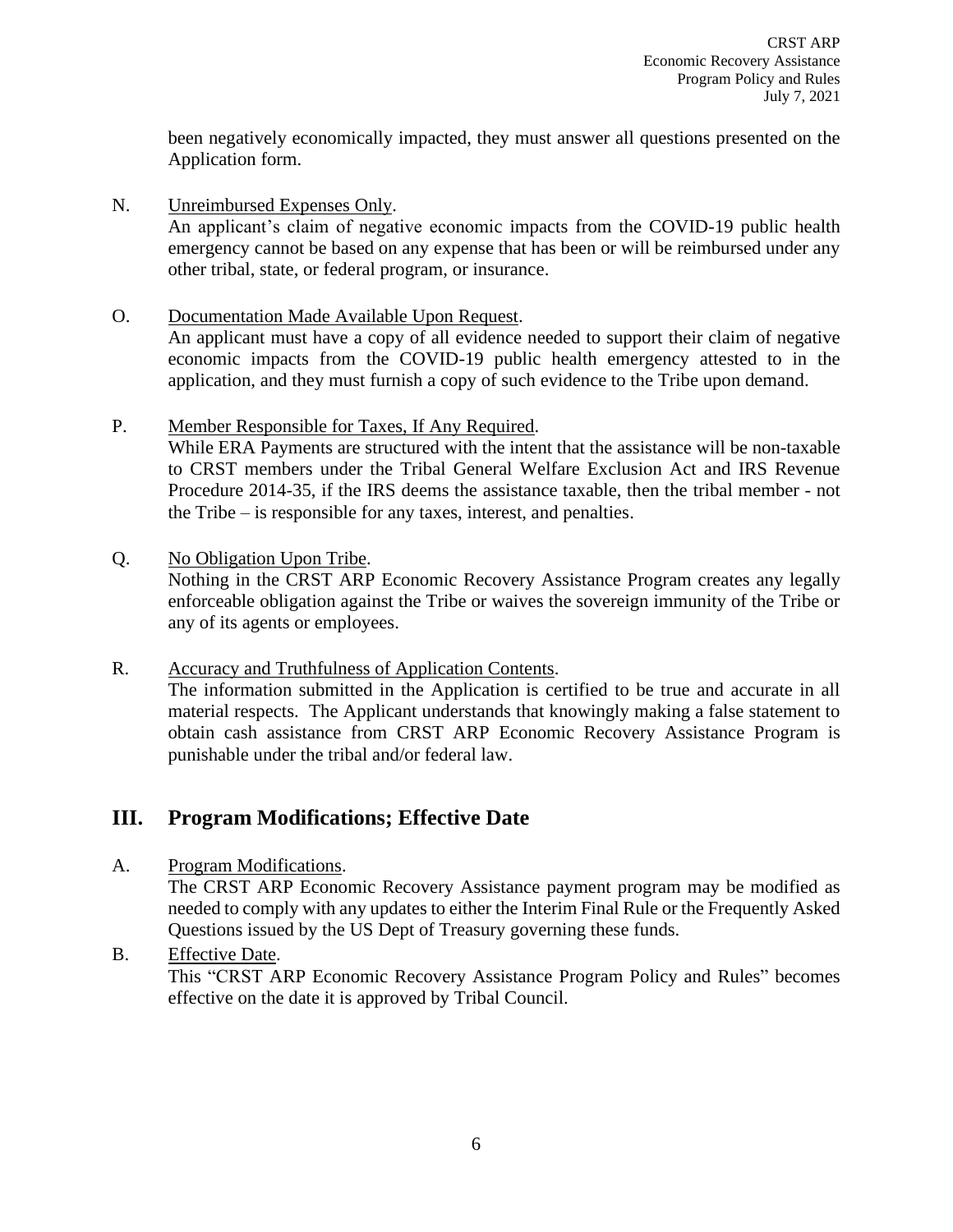been negatively economically impacted, they must answer all questions presented on the Application form.

<span id="page-6-0"></span>N. Unreimbursed Expenses Only.

An applicant's claim of negative economic impacts from the COVID-19 public health emergency cannot be based on any expense that has been or will be reimbursed under any other tribal, state, or federal program, or insurance.

<span id="page-6-1"></span>O. Documentation Made Available Upon Request.

An applicant must have a copy of all evidence needed to support their claim of negative economic impacts from the COVID-19 public health emergency attested to in the application, and they must furnish a copy of such evidence to the Tribe upon demand.

<span id="page-6-2"></span>P. Member Responsible for Taxes, If Any Required.

While ERA Payments are structured with the intent that the assistance will be non-taxable to CRST members under the Tribal General Welfare Exclusion Act and IRS Revenue Procedure 2014-35, if the IRS deems the assistance taxable, then the tribal member - not the Tribe – is responsible for any taxes, interest, and penalties.

### <span id="page-6-3"></span>Q. No Obligation Upon Tribe.

Nothing in the CRST ARP Economic Recovery Assistance Program creates any legally enforceable obligation against the Tribe or waives the sovereign immunity of the Tribe or any of its agents or employees.

<span id="page-6-4"></span>R. Accuracy and Truthfulness of Application Contents. The information submitted in the Application is certified to be true and accurate in all material respects. The Applicant understands that knowingly making a false statement to obtain cash assistance from CRST ARP Economic Recovery Assistance Program is punishable under the tribal and/or federal law.

## <span id="page-6-5"></span>**III. Program Modifications; Effective Date**

<span id="page-6-6"></span>A. Program Modifications.

The CRST ARP Economic Recovery Assistance payment program may be modified as needed to comply with any updates to either the Interim Final Rule or the Frequently Asked Questions issued by the US Dept of Treasury governing these funds.

<span id="page-6-7"></span>B. Effective Date.

This "CRST ARP Economic Recovery Assistance Program Policy and Rules" becomes effective on the date it is approved by Tribal Council.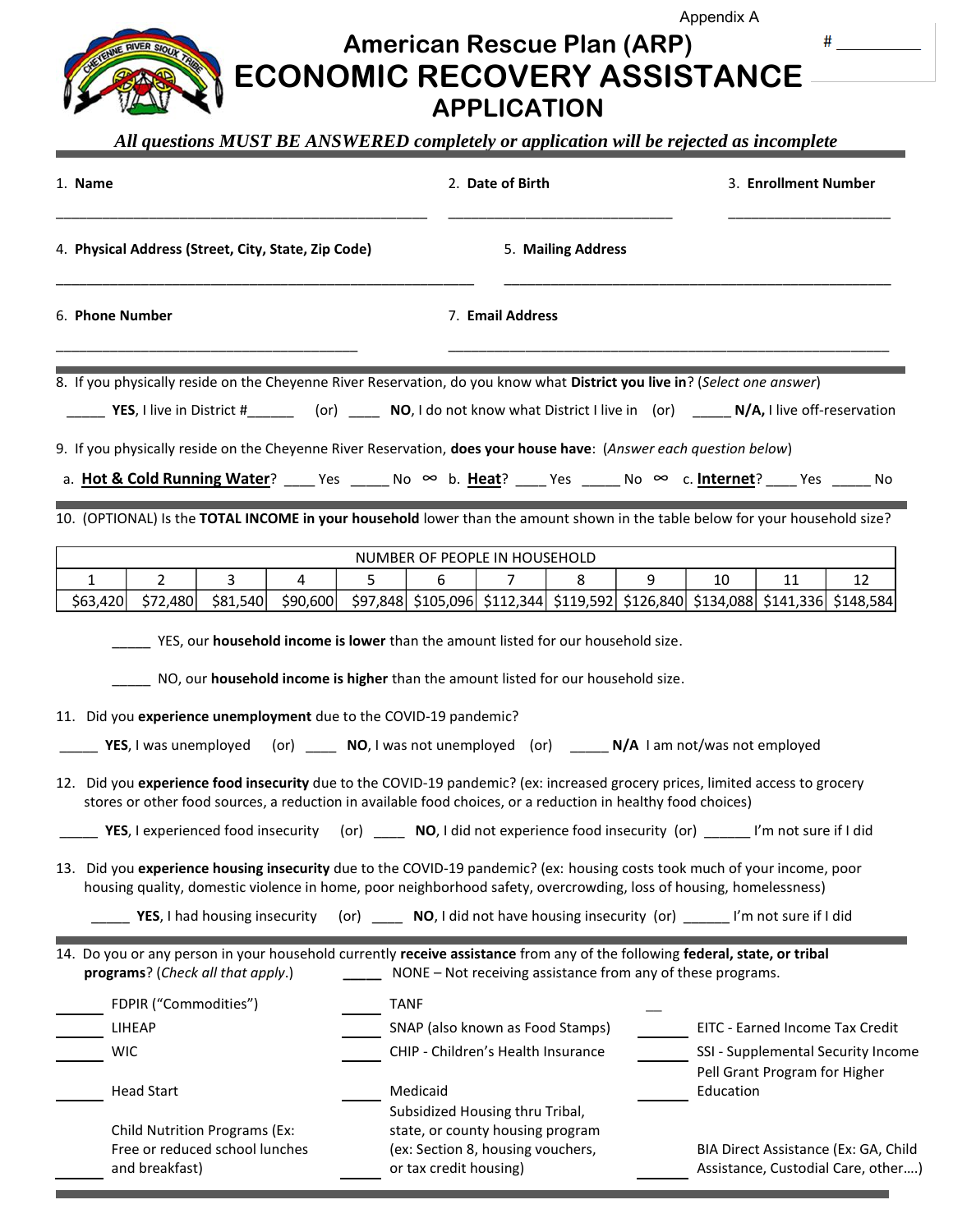## **American Rescue Plan (ARP) ECONOMIC RECOVERY ASSISTANCE APPLICATION** Appendix A

#### *All questions MUST BE ANSWERED completely or application will be rejected as incomplete*

**RIVER SIOUX** 

| 1. Name<br>4. Physical Address (Street, City, State, Zip Code) |                                                                                                                                                                                                                                                                                                                                                                                   |                               |                                                                                                       |                  | 2. Date of Birth |                                                             |   |   | 3. Enrollment Number |                                                                                      |                                    |
|----------------------------------------------------------------|-----------------------------------------------------------------------------------------------------------------------------------------------------------------------------------------------------------------------------------------------------------------------------------------------------------------------------------------------------------------------------------|-------------------------------|-------------------------------------------------------------------------------------------------------|------------------|------------------|-------------------------------------------------------------|---|---|----------------------|--------------------------------------------------------------------------------------|------------------------------------|
|                                                                |                                                                                                                                                                                                                                                                                                                                                                                   |                               |                                                                                                       |                  |                  | 5. Mailing Address                                          |   |   |                      |                                                                                      |                                    |
| 6. Phone Number                                                |                                                                                                                                                                                                                                                                                                                                                                                   |                               |                                                                                                       | 7. Email Address |                  |                                                             |   |   |                      |                                                                                      |                                    |
|                                                                | 8. If you physically reside on the Cheyenne River Reservation, do you know what District you live in? (Select one answer)<br>VES, I live in District #________ (or) ______ NO, I do not know what District I live in (or) ______ N/A, I live off-reservation<br>9. If you physically reside on the Cheyenne River Reservation, does your house have: (Answer each question below) |                               |                                                                                                       |                  |                  |                                                             |   |   |                      |                                                                                      |                                    |
|                                                                | a. Hot & Cold Running Water? ______ Yes _______ No ∞ b. Heat? _____ Yes ______ No ∞ c. Internet? _____ Yes ______ No                                                                                                                                                                                                                                                              |                               |                                                                                                       |                  |                  |                                                             |   |   |                      |                                                                                      |                                    |
|                                                                | 10. (OPTIONAL) Is the TOTAL INCOME in your household lower than the amount shown in the table below for your household size?                                                                                                                                                                                                                                                      |                               |                                                                                                       |                  |                  |                                                             |   |   |                      |                                                                                      |                                    |
|                                                                |                                                                                                                                                                                                                                                                                                                                                                                   |                               |                                                                                                       |                  |                  | NUMBER OF PEOPLE IN HOUSEHOLD                               |   |   |                      |                                                                                      |                                    |
| $\mathbf{1}$                                                   | $\overline{2}$<br>$$63,420$ $$72,480$                                                                                                                                                                                                                                                                                                                                             | $\overline{3}$                | 4<br>\$81,540 \$90,600 \$97,848 \$105,096 \$112,344 \$119,592 \$126,840 \$134,088 \$141,336 \$148,584 | 5                | 6                | 7                                                           | 8 | 9 | 10                   | 11                                                                                   | 12                                 |
|                                                                | 11. Did you experience unemployment due to the COVID-19 pandemic?<br>YES, I was unemployed (or) $\qquad \qquad \text{NO, I was not unemployed}$ (or) $\qquad \qquad \text{N/A I am not/was not employed}$                                                                                                                                                                         |                               |                                                                                                       |                  |                  |                                                             |   |   |                      |                                                                                      |                                    |
|                                                                | 12. Did you experience food insecurity due to the COVID-19 pandemic? (ex: increased grocery prices, limited access to grocery<br>stores or other food sources, a reduction in available food choices, or a reduction in healthy food choices)                                                                                                                                     |                               |                                                                                                       |                  |                  |                                                             |   |   |                      |                                                                                      |                                    |
|                                                                | YES, I experienced food insecurity (or)                                                                                                                                                                                                                                                                                                                                           |                               |                                                                                                       |                  |                  | NO, I did not experience food insecurity (or) _             |   |   |                      | I'm not sure if I did                                                                |                                    |
|                                                                | 13. Did you experience housing insecurity due to the COVID-19 pandemic? (ex: housing costs took much of your income, poor<br>housing quality, domestic violence in home, poor neighborhood safety, overcrowding, loss of housing, homelessness)                                                                                                                                   | YES, I had housing insecurity |                                                                                                       |                  |                  |                                                             |   |   |                      | (or) ______ NO, I did not have housing insecurity (or) _______ I'm not sure if I did |                                    |
|                                                                | 14. Do you or any person in your household currently receive assistance from any of the following federal, state, or tribal<br>programs? (Check all that apply.)                                                                                                                                                                                                                  |                               |                                                                                                       |                  |                  | NONE - Not receiving assistance from any of these programs. |   |   |                      |                                                                                      |                                    |
|                                                                | FDPIR ("Commodities")                                                                                                                                                                                                                                                                                                                                                             |                               |                                                                                                       | <b>TANF</b>      |                  |                                                             |   |   |                      |                                                                                      |                                    |
|                                                                | LIHEAP                                                                                                                                                                                                                                                                                                                                                                            |                               |                                                                                                       |                  |                  | SNAP (also known as Food Stamps)                            |   |   |                      |                                                                                      | EITC - Earned Income Tax Credit    |
|                                                                | <b>WIC</b>                                                                                                                                                                                                                                                                                                                                                                        |                               |                                                                                                       |                  |                  | CHIP - Children's Health Insurance                          |   |   |                      | Pell Grant Program for Higher                                                        | SSI - Supplemental Security Income |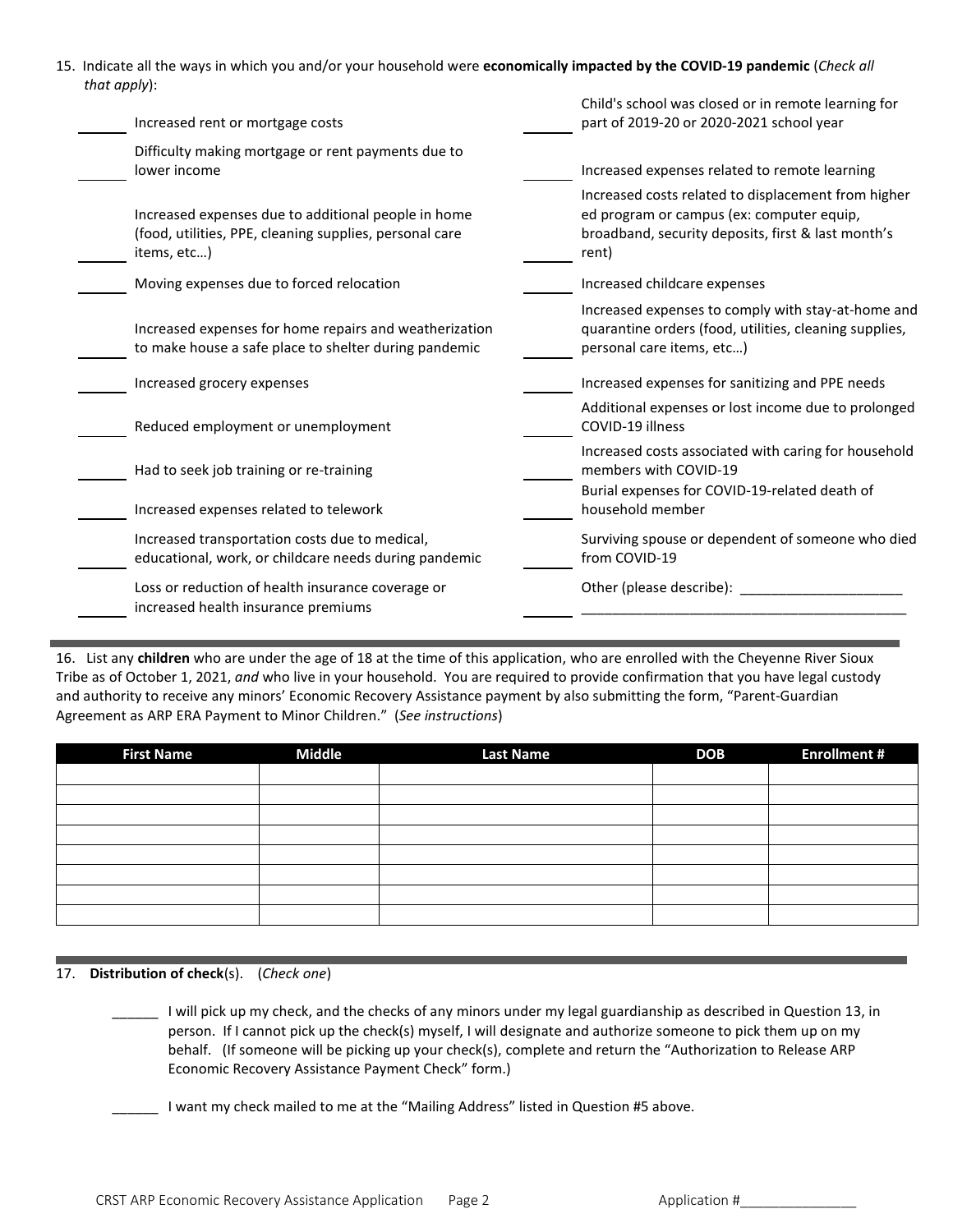15. Indicate all the ways in which you and/or your household were **economically impacted by the COVID-19 pandemic** (*Check all that apply*):

| Increased rent or mortgage costs                                                                                              | Child's school was closed or in remote learning for<br>part of 2019-20 or 2020-2021 school year                                                                 |
|-------------------------------------------------------------------------------------------------------------------------------|-----------------------------------------------------------------------------------------------------------------------------------------------------------------|
| Difficulty making mortgage or rent payments due to<br>lower income                                                            | Increased expenses related to remote learning                                                                                                                   |
| Increased expenses due to additional people in home<br>(food, utilities, PPE, cleaning supplies, personal care<br>items, etc) | Increased costs related to displacement from higher<br>ed program or campus (ex: computer equip,<br>broadband, security deposits, first & last month's<br>rent) |
| Moving expenses due to forced relocation                                                                                      | Increased childcare expenses                                                                                                                                    |
| Increased expenses for home repairs and weatherization<br>to make house a safe place to shelter during pandemic               | Increased expenses to comply with stay-at-home and<br>quarantine orders (food, utilities, cleaning supplies,<br>personal care items, etc)                       |
| Increased grocery expenses                                                                                                    | Increased expenses for sanitizing and PPE needs                                                                                                                 |
| Reduced employment or unemployment                                                                                            | Additional expenses or lost income due to prolonged<br>COVID-19 illness                                                                                         |
| Had to seek job training or re-training                                                                                       | Increased costs associated with caring for household<br>members with COVID-19                                                                                   |
| Increased expenses related to telework                                                                                        | Burial expenses for COVID-19-related death of<br>household member                                                                                               |
| Increased transportation costs due to medical,<br>educational, work, or childcare needs during pandemic                       | Surviving spouse or dependent of someone who died<br>from COVID-19                                                                                              |
| Loss or reduction of health insurance coverage or<br>increased health insurance premiums                                      | Other (please describe):                                                                                                                                        |
|                                                                                                                               |                                                                                                                                                                 |

16. List any **children** who are under the age of 18 at the time of this application, who are enrolled with the Cheyenne River Sioux Tribe as of October 1, 2021, *and* who live in your household. You are required to provide confirmation that you have legal custody and authority to receive any minors' Economic Recovery Assistance payment by also submitting the form, "Parent-Guardian Agreement as ARP ERA Payment to Minor Children." (*See instructions*)

| <b>First Name</b> | <b>Middle</b> | <b>Last Name</b> | <b>DOB</b> | <b>Enrollment #</b> |
|-------------------|---------------|------------------|------------|---------------------|
|                   |               |                  |            |                     |
|                   |               |                  |            |                     |
|                   |               |                  |            |                     |
|                   |               |                  |            |                     |
|                   |               |                  |            |                     |
|                   |               |                  |            |                     |
|                   |               |                  |            |                     |
|                   |               |                  |            |                     |

#### 17. **Distribution of check**(s). (*Check one*)

\_\_\_\_\_\_ I will pick up my check, and the checks of any minors under my legal guardianship as described in Question 13, in person. If I cannot pick up the check(s) myself, I will designate and authorize someone to pick them up on my behalf. (If someone will be picking up your check(s), complete and return the "Authorization to Release ARP Economic Recovery Assistance Payment Check" form.)

I want my check mailed to me at the "Mailing Address" listed in Question #5 above.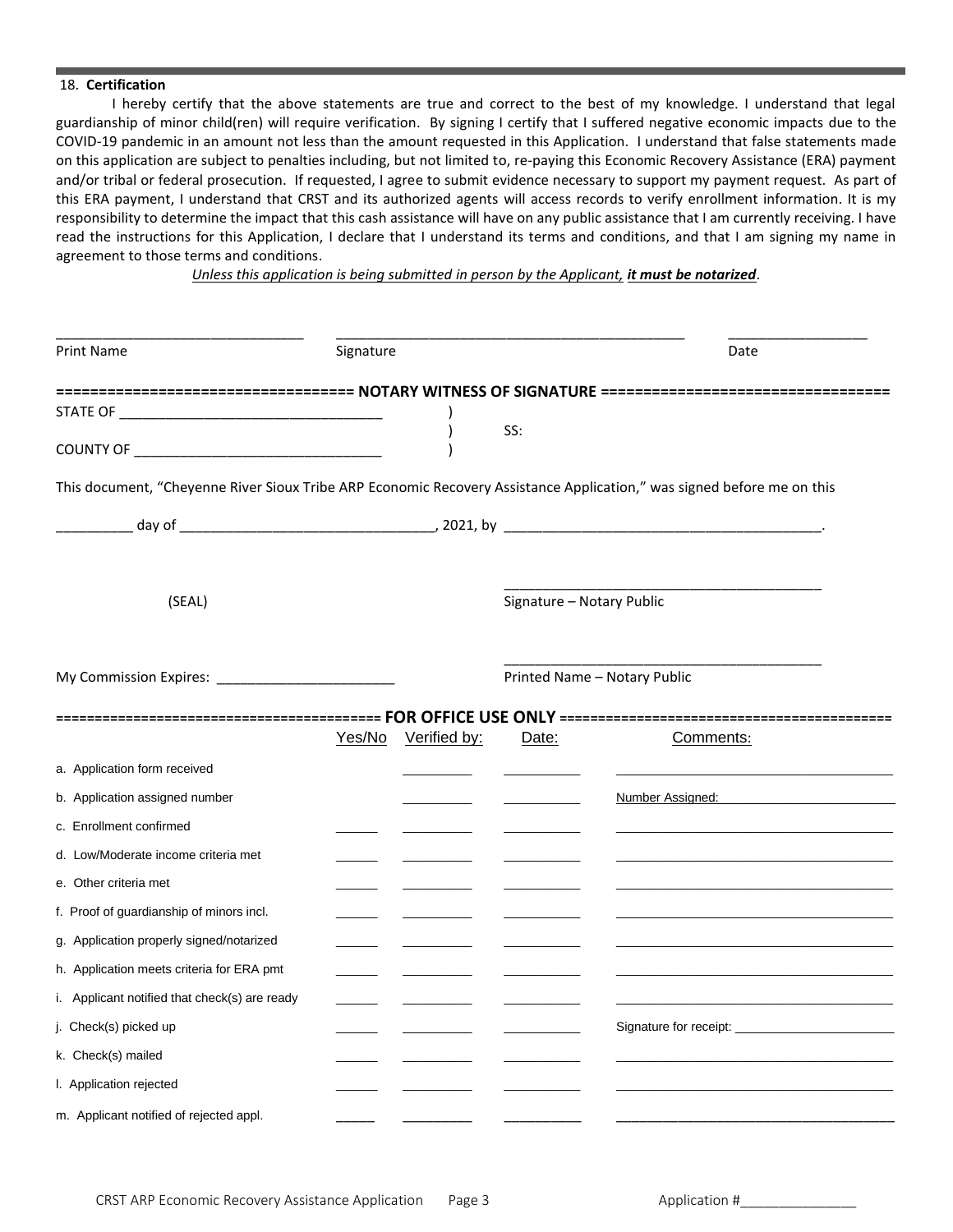#### 18. **Certification**

I hereby certify that the above statements are true and correct to the best of my knowledge. I understand that legal guardianship of minor child(ren) will require verification. By signing I certify that I suffered negative economic impacts due to the COVID-19 pandemic in an amount not less than the amount requested in this Application. I understand that false statements made on this application are subject to penalties including, but not limited to, re-paying this Economic Recovery Assistance (ERA) payment and/or tribal or federal prosecution. If requested, I agree to submit evidence necessary to support my payment request. As part of this ERA payment, I understand that CRST and its authorized agents will access records to verify enrollment information. It is my responsibility to determine the impact that this cash assistance will have on any public assistance that I am currently receiving. I have read the instructions for this Application, I declare that I understand its terms and conditions, and that I am signing my name in agreement to those terms and conditions.

*Unless this application is being submitted in person by the Applicant, it must be notarized*.

| <b>Print Name</b>                                                                                                      | Signature |              |                           | Date                                                                                               |
|------------------------------------------------------------------------------------------------------------------------|-----------|--------------|---------------------------|----------------------------------------------------------------------------------------------------|
|                                                                                                                        |           |              |                           | =================================== NOTARY WITNESS OF SIGNATURE ================================== |
|                                                                                                                        |           |              |                           |                                                                                                    |
|                                                                                                                        |           |              | SS:                       |                                                                                                    |
| This document, "Cheyenne River Sioux Tribe ARP Economic Recovery Assistance Application," was signed before me on this |           |              |                           |                                                                                                    |
|                                                                                                                        |           |              |                           |                                                                                                    |
| (SEAL)                                                                                                                 |           |              | Signature - Notary Public |                                                                                                    |
|                                                                                                                        |           |              |                           | Printed Name - Notary Public                                                                       |
|                                                                                                                        | Yes/No    | Verified by: | Date:                     | Comments:                                                                                          |
| a. Application form received                                                                                           |           |              |                           |                                                                                                    |
| b. Application assigned number                                                                                         |           |              |                           | Number Assigned: _                                                                                 |
| c. Enrollment confirmed                                                                                                |           |              |                           |                                                                                                    |
| d. Low/Moderate income criteria met                                                                                    |           |              |                           |                                                                                                    |
| e. Other criteria met                                                                                                  |           |              |                           |                                                                                                    |
| f. Proof of guardianship of minors incl.                                                                               |           |              |                           |                                                                                                    |
| g. Application properly signed/notarized                                                                               |           |              |                           |                                                                                                    |
| h. Application meets criteria for ERA pmt                                                                              |           |              |                           |                                                                                                    |
| i. Applicant notified that check(s) are ready                                                                          |           |              |                           |                                                                                                    |
| j. Check(s) picked up                                                                                                  |           |              |                           |                                                                                                    |
| k. Check(s) mailed                                                                                                     |           |              |                           |                                                                                                    |
| I. Application rejected                                                                                                |           |              |                           |                                                                                                    |
| m. Applicant notified of rejected appl.                                                                                |           |              |                           |                                                                                                    |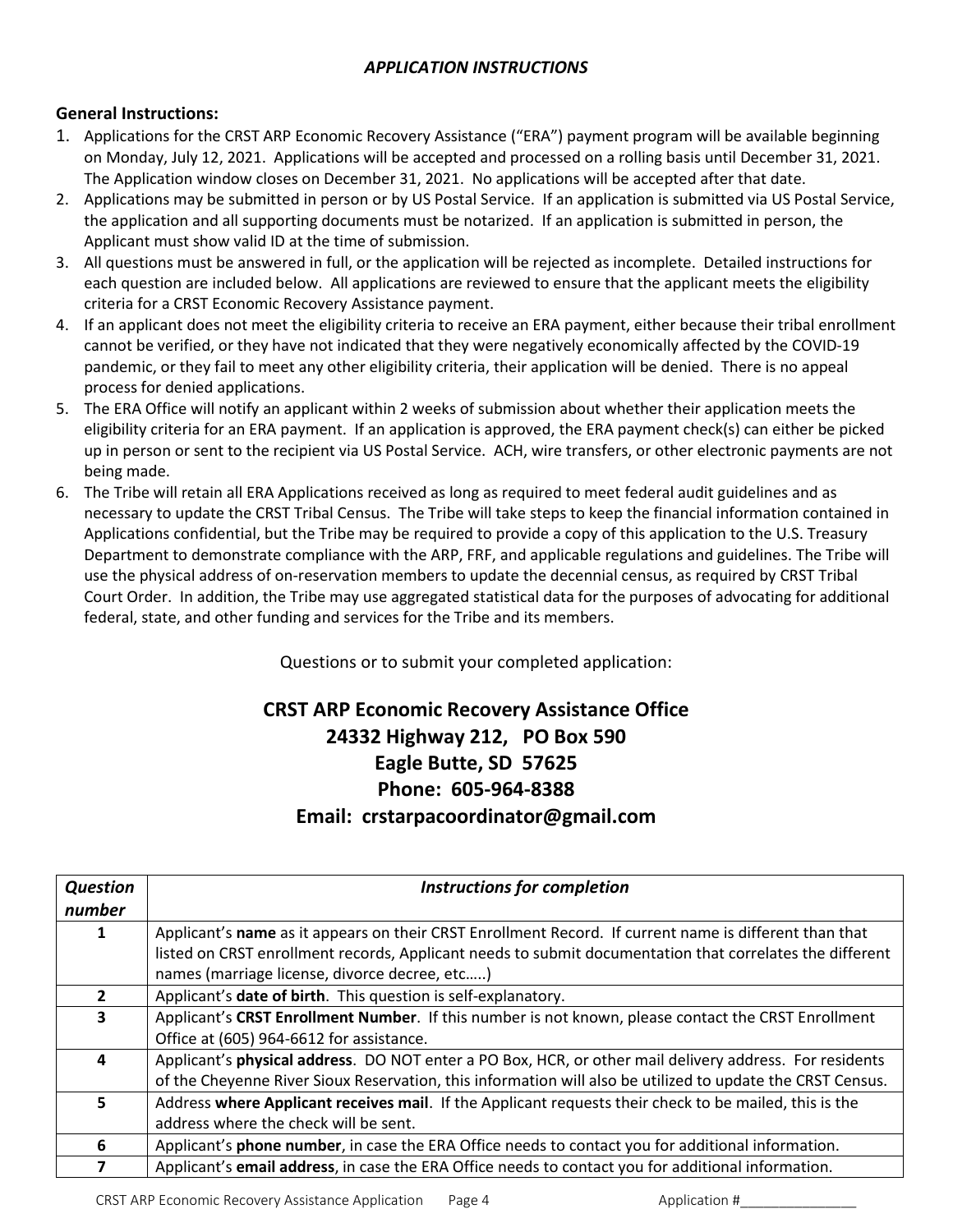## *APPLICATION INSTRUCTIONS*

### **General Instructions:**

- 1. Applications for the CRST ARP Economic Recovery Assistance ("ERA") payment program will be available beginning on Monday, July 12, 2021. Applications will be accepted and processed on a rolling basis until December 31, 2021. The Application window closes on December 31, 2021. No applications will be accepted after that date.
- 2. Applications may be submitted in person or by US Postal Service. If an application is submitted via US Postal Service, the application and all supporting documents must be notarized. If an application is submitted in person, the Applicant must show valid ID at the time of submission.
- 3. All questions must be answered in full, or the application will be rejected as incomplete. Detailed instructions for each question are included below. All applications are reviewed to ensure that the applicant meets the eligibility criteria for a CRST Economic Recovery Assistance payment.
- 4. If an applicant does not meet the eligibility criteria to receive an ERA payment, either because their tribal enrollment cannot be verified, or they have not indicated that they were negatively economically affected by the COVID-19 pandemic, or they fail to meet any other eligibility criteria, their application will be denied. There is no appeal process for denied applications.
- 5. The ERA Office will notify an applicant within 2 weeks of submission about whether their application meets the eligibility criteria for an ERA payment. If an application is approved, the ERA payment check(s) can either be picked up in person or sent to the recipient via US Postal Service. ACH, wire transfers, or other electronic payments are not being made.
- 6. The Tribe will retain all ERA Applications received as long as required to meet federal audit guidelines and as necessary to update the CRST Tribal Census. The Tribe will take steps to keep the financial information contained in Applications confidential, but the Tribe may be required to provide a copy of this application to the U.S. Treasury Department to demonstrate compliance with the ARP, FRF, and applicable regulations and guidelines. The Tribe will use the physical address of on-reservation members to update the decennial census, as required by CRST Tribal Court Order. In addition, the Tribe may use aggregated statistical data for the purposes of advocating for additional federal, state, and other funding and services for the Tribe and its members.

Questions or to submit your completed application:

## **CRST ARP Economic Recovery Assistance Office 24332 Highway 212, PO Box 590 Eagle Butte, SD 57625 Phone: 605-964-8388 Email: crstarpacoordinator@gmail.com**

| <b>Question</b><br>number | <b>Instructions for completion</b>                                                                         |  |  |  |
|---------------------------|------------------------------------------------------------------------------------------------------------|--|--|--|
|                           | Applicant's name as it appears on their CRST Enrollment Record. If current name is different than that     |  |  |  |
|                           | listed on CRST enrollment records, Applicant needs to submit documentation that correlates the different   |  |  |  |
|                           | names (marriage license, divorce decree, etc)                                                              |  |  |  |
| $\mathbf{2}$              | Applicant's date of birth. This question is self-explanatory.                                              |  |  |  |
| 3                         | Applicant's CRST Enrollment Number. If this number is not known, please contact the CRST Enrollment        |  |  |  |
|                           | Office at (605) 964-6612 for assistance.                                                                   |  |  |  |
| 4                         | Applicant's physical address. DO NOT enter a PO Box, HCR, or other mail delivery address. For residents    |  |  |  |
|                           | of the Cheyenne River Sioux Reservation, this information will also be utilized to update the CRST Census. |  |  |  |
| 5.                        | Address where Applicant receives mail. If the Applicant requests their check to be mailed, this is the     |  |  |  |
|                           | address where the check will be sent.                                                                      |  |  |  |
| 6                         | Applicant's phone number, in case the ERA Office needs to contact you for additional information.          |  |  |  |
|                           | Applicant's email address, in case the ERA Office needs to contact you for additional information.         |  |  |  |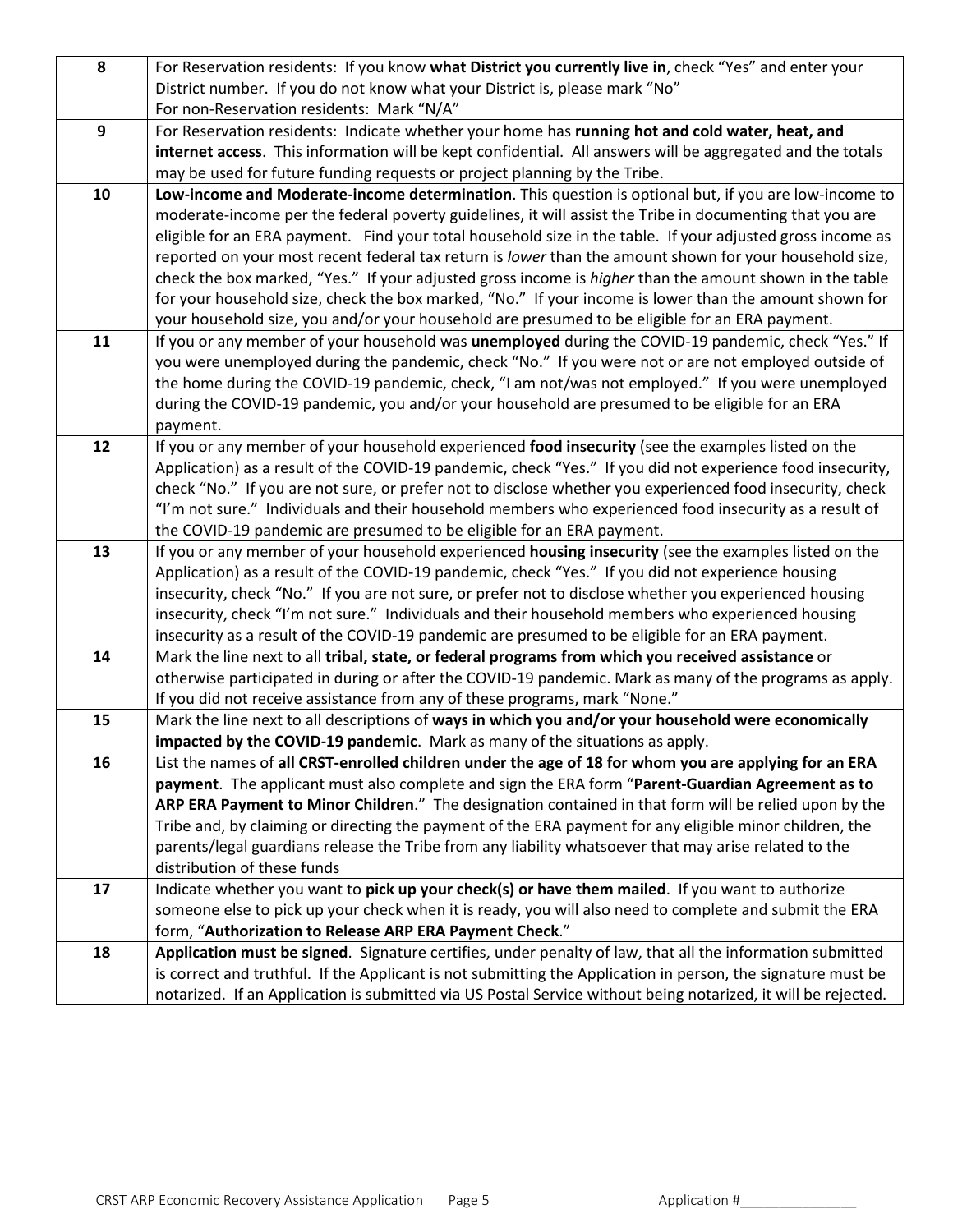| 8  | For Reservation residents: If you know what District you currently live in, check "Yes" and enter your                                                                                                        |
|----|---------------------------------------------------------------------------------------------------------------------------------------------------------------------------------------------------------------|
|    | District number. If you do not know what your District is, please mark "No"                                                                                                                                   |
|    | For non-Reservation residents: Mark "N/A"                                                                                                                                                                     |
| 9  | For Reservation residents: Indicate whether your home has running hot and cold water, heat, and                                                                                                               |
|    | internet access. This information will be kept confidential. All answers will be aggregated and the totals                                                                                                    |
|    | may be used for future funding requests or project planning by the Tribe.                                                                                                                                     |
| 10 | Low-income and Moderate-income determination. This question is optional but, if you are low-income to                                                                                                         |
|    | moderate-income per the federal poverty guidelines, it will assist the Tribe in documenting that you are                                                                                                      |
|    | eligible for an ERA payment. Find your total household size in the table. If your adjusted gross income as                                                                                                    |
|    | reported on your most recent federal tax return is lower than the amount shown for your household size,                                                                                                       |
|    | check the box marked, "Yes." If your adjusted gross income is <i>higher</i> than the amount shown in the table                                                                                                |
|    | for your household size, check the box marked, "No." If your income is lower than the amount shown for                                                                                                        |
|    | your household size, you and/or your household are presumed to be eligible for an ERA payment.                                                                                                                |
| 11 | If you or any member of your household was unemployed during the COVID-19 pandemic, check "Yes." If                                                                                                           |
|    | you were unemployed during the pandemic, check "No." If you were not or are not employed outside of                                                                                                           |
|    | the home during the COVID-19 pandemic, check, "I am not/was not employed." If you were unemployed                                                                                                             |
|    | during the COVID-19 pandemic, you and/or your household are presumed to be eligible for an ERA                                                                                                                |
|    | payment.                                                                                                                                                                                                      |
| 12 | If you or any member of your household experienced food insecurity (see the examples listed on the                                                                                                            |
|    | Application) as a result of the COVID-19 pandemic, check "Yes." If you did not experience food insecurity,                                                                                                    |
|    | check "No." If you are not sure, or prefer not to disclose whether you experienced food insecurity, check                                                                                                     |
|    | "I'm not sure." Individuals and their household members who experienced food insecurity as a result of                                                                                                        |
|    | the COVID-19 pandemic are presumed to be eligible for an ERA payment.                                                                                                                                         |
| 13 | If you or any member of your household experienced housing insecurity (see the examples listed on the                                                                                                         |
|    | Application) as a result of the COVID-19 pandemic, check "Yes." If you did not experience housing                                                                                                             |
|    | insecurity, check "No." If you are not sure, or prefer not to disclose whether you experienced housing                                                                                                        |
|    | insecurity, check "I'm not sure." Individuals and their household members who experienced housing                                                                                                             |
|    | insecurity as a result of the COVID-19 pandemic are presumed to be eligible for an ERA payment.                                                                                                               |
| 14 | Mark the line next to all tribal, state, or federal programs from which you received assistance or<br>otherwise participated in during or after the COVID-19 pandemic. Mark as many of the programs as apply. |
|    | If you did not receive assistance from any of these programs, mark "None."                                                                                                                                    |
| 15 | Mark the line next to all descriptions of ways in which you and/or your household were economically                                                                                                           |
|    | impacted by the COVID-19 pandemic. Mark as many of the situations as apply.                                                                                                                                   |
| 16 | List the names of all CRST-enrolled children under the age of 18 for whom you are applying for an ERA                                                                                                         |
|    | payment. The applicant must also complete and sign the ERA form "Parent-Guardian Agreement as to                                                                                                              |
|    | ARP ERA Payment to Minor Children." The designation contained in that form will be relied upon by the                                                                                                         |
|    | Tribe and, by claiming or directing the payment of the ERA payment for any eligible minor children, the                                                                                                       |
|    | parents/legal guardians release the Tribe from any liability whatsoever that may arise related to the                                                                                                         |
|    | distribution of these funds                                                                                                                                                                                   |
| 17 | Indicate whether you want to pick up your check(s) or have them mailed. If you want to authorize                                                                                                              |
|    | someone else to pick up your check when it is ready, you will also need to complete and submit the ERA                                                                                                        |
|    | form, "Authorization to Release ARP ERA Payment Check."                                                                                                                                                       |
| 18 | Application must be signed. Signature certifies, under penalty of law, that all the information submitted                                                                                                     |
|    | is correct and truthful. If the Applicant is not submitting the Application in person, the signature must be                                                                                                  |
|    | notarized. If an Application is submitted via US Postal Service without being notarized, it will be rejected.                                                                                                 |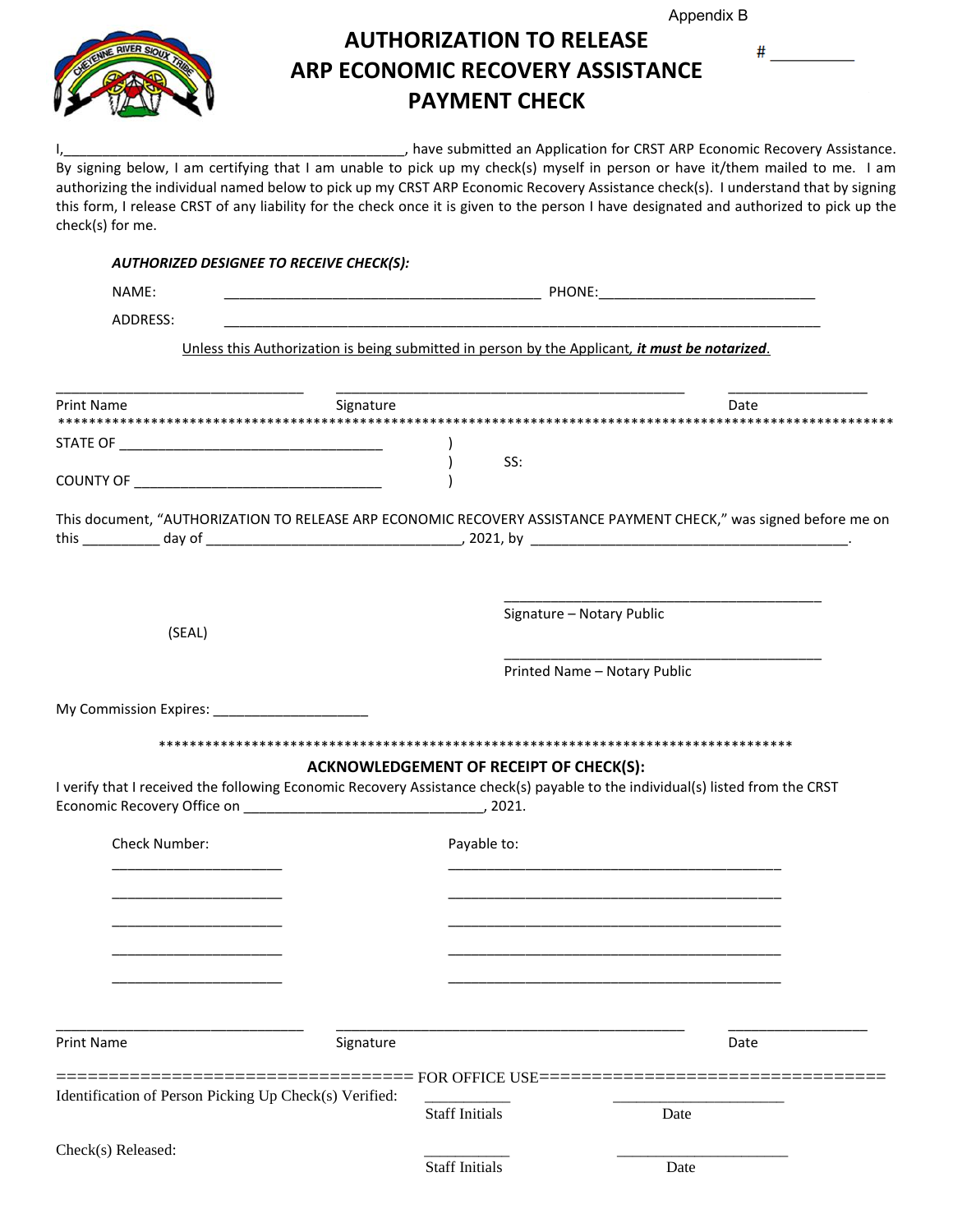Appendix B

 $^{\#}$ 



## **AUTHORIZATION TO RELEASE ARP ECONOMIC RECOVERY ASSISTANCE PAYMENT CHECK**

I,\_\_\_\_\_\_\_\_\_\_\_\_\_\_\_\_\_\_\_\_\_\_\_\_\_\_\_\_\_\_\_\_\_\_\_\_\_\_\_\_\_\_\_\_, have submitted an Application for CRST ARP Economic Recovery Assistance.

By signing below, I am certifying that I am unable to pick up my check(s) myself in person or have it/them mailed to me. I am authorizing the individual named below to pick up my CRST ARP Economic Recovery Assistance check(s). I understand that by signing this form, I release CRST of any liability for the check once it is given to the person I have designated and authorized to pick up the check(s) for me.

| <b>AUTHORIZED DESIGNEE TO RECEIVE CHECK(S):</b>                                                                                |                                                                                                |                                                                                                                   |
|--------------------------------------------------------------------------------------------------------------------------------|------------------------------------------------------------------------------------------------|-------------------------------------------------------------------------------------------------------------------|
| NAME:                                                                                                                          |                                                                                                |                                                                                                                   |
| ADDRESS:                                                                                                                       |                                                                                                |                                                                                                                   |
|                                                                                                                                | Unless this Authorization is being submitted in person by the Applicant, it must be notarized. |                                                                                                                   |
| Print Name                                                                                                                     | Signature                                                                                      | Date                                                                                                              |
|                                                                                                                                |                                                                                                |                                                                                                                   |
|                                                                                                                                | SS:                                                                                            |                                                                                                                   |
|                                                                                                                                |                                                                                                | This document, "AUTHORIZATION TO RELEASE ARP ECONOMIC RECOVERY ASSISTANCE PAYMENT CHECK," was signed before me on |
| (SEAL)                                                                                                                         | Signature - Notary Public                                                                      |                                                                                                                   |
|                                                                                                                                |                                                                                                | Printed Name - Notary Public                                                                                      |
|                                                                                                                                |                                                                                                |                                                                                                                   |
|                                                                                                                                |                                                                                                |                                                                                                                   |
| I verify that I received the following Economic Recovery Assistance check(s) payable to the individual(s) listed from the CRST | <b>ACKNOWLEDGEMENT OF RECEIPT OF CHECK(S):</b>                                                 |                                                                                                                   |
| Check Number:                                                                                                                  | Payable to:                                                                                    |                                                                                                                   |
|                                                                                                                                |                                                                                                |                                                                                                                   |
|                                                                                                                                |                                                                                                |                                                                                                                   |
|                                                                                                                                |                                                                                                |                                                                                                                   |
| <b>Print Name</b>                                                                                                              | Signature                                                                                      | Date                                                                                                              |
| Identification of Person Picking Up Check(s) Verified:                                                                         | ==== FOR OFFICE USE=<br><b>Staff Initials</b>                                                  | Date                                                                                                              |
| Check(s) Released:                                                                                                             | <b>Staff Initials</b>                                                                          | Date                                                                                                              |